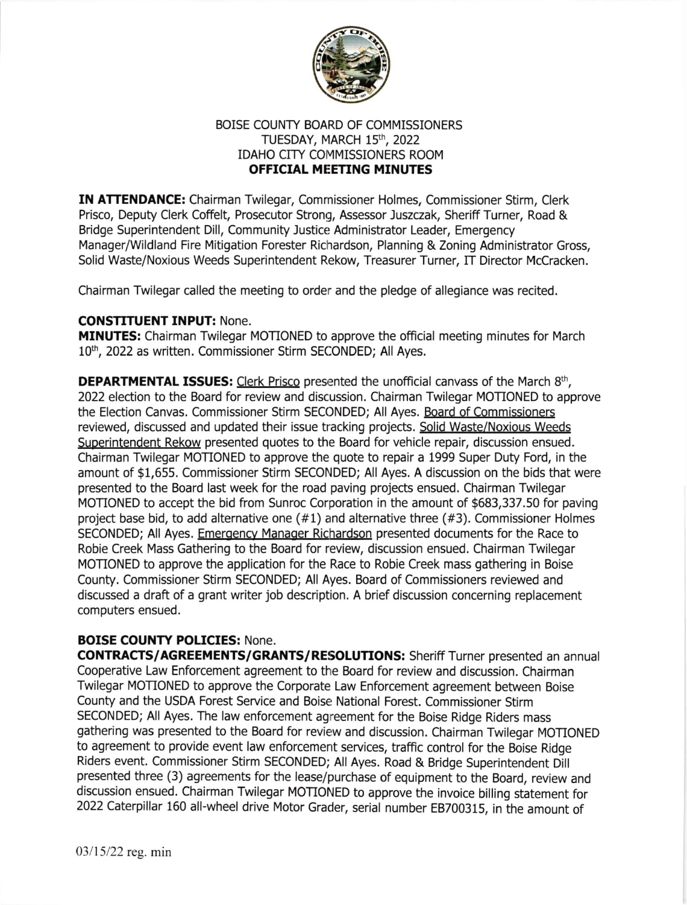

## BOISE COUNTY BOARD OF COMMISSIONERS TUESDAY, MARCH 15th, 2022 IDAHO CITY COMMISSIONERS ROOM OFFICTAL MEETING MINUTES

IN ATTENDANCE: Chairman Twilegar, Commissioner Holmes, Commissioner Stirm, Clerk Prisco, Deputy Clerk Coffelt, Prosecutor Strong, Assessor Juszczak, Sheriff Turner, Road & Bridge Superintendent Dill, Community Justice Administrator Leader, Emergency Manager/Wildland Fire Mitigation Forester Richardson, Planning & Zoning Administrator Gross, Solid Waste/Noxious Weeds Superintendent Rekow, Treasurer Turner, IT Director McCracken.

Chairman Twilegar called the meeting to order and the pledge of allegiance was recited.

## CONSTITUENT INPUT: None.

MINUTES: Chairman Twilegar MOTIONED to approve the official meeting minutes for March 10<sup>th</sup>, 2022 as written. Commissioner Stirm SECONDED; All Ayes.

**DEPARTMENTAL ISSUES:** Clerk Prisco presented the unofficial canvass of the March 8<sup>th</sup>, 2022 election to the Board for review and discussion. Chairman Twilegar MOTIONED to approve the Election Canvas. Commissioner Stirm SECONDED; All Ayes. Board of Commissioners reviewed, discussed and updated their issue tracking projects. Solid Waste/Noxious Weeds Suoerintendent Rekow presented quotes to the Board for vehicle repair, discussion ensued. Chairman Twilegar MOTIONED to approve the quote to repair a 1999 Super Duty Ford, in the amount of \$1,655. Commissioner Stirm SECONDED; All Ayes. A discussion on the bids that were presented to the Board last week for the road paving projects ensued. Chairman Twilegar MOTIONED to accept the bid from Sunroc Corporation in the amount of \$683,337.50 for paving project base bid, to add alternative one (#1) and alternative three (#3). Commissioner Holmes SECONDED; All Ayes. Emergency Manager Richardson presented documents for the Race to Robie Creek Mass Gathering to the Board for review, discussion ensued. Chairman Twilegar MOTIONED to approve the application for the Race to Robie Creek mass gathering in Boise County. Commissioner Stirm SECONDED; All Ayes. Board of Commissioners reviewed and discussed a draft of a grant writer job description. A brief discussion concerning replacement computers ensued.

## BOISE COUNTY POLICIES: None.

CONTRACTS/AGREEMENTS/GRANTS/RESOLUTIONS: Sheriff Turner presented an annual Cooperative Law Enforcement agreement to the Board for review and discussion. Chairman Twilegar MOTIONED to approve the Corporate Law Enforcement agreement between Boise County and the USDA Forest Service and Boise National Forest. Commissioner Stirm SECONDED; All Ayes. The law enforcement agreement for the Boise Ridge Riders mass gathering was presented to the Board for review and discussion. Chairman Twilegar MOTIONED to agreement to provide event law enforcement services, traffic control for the Boise Ridge Riders event. Commissioner Stirm SECONDED; All Ayes. Road & Bridge Superintendent Dill presented three (3) agreements for the lease/purchase of equipment to the Board, review and discussion ensued. Chairman Twilegar MOTIONED to approve the invoice billing statement for 2022 Caterpillar 160 all-wheel drive Motor Grader, serial number E8700315, in the amount of